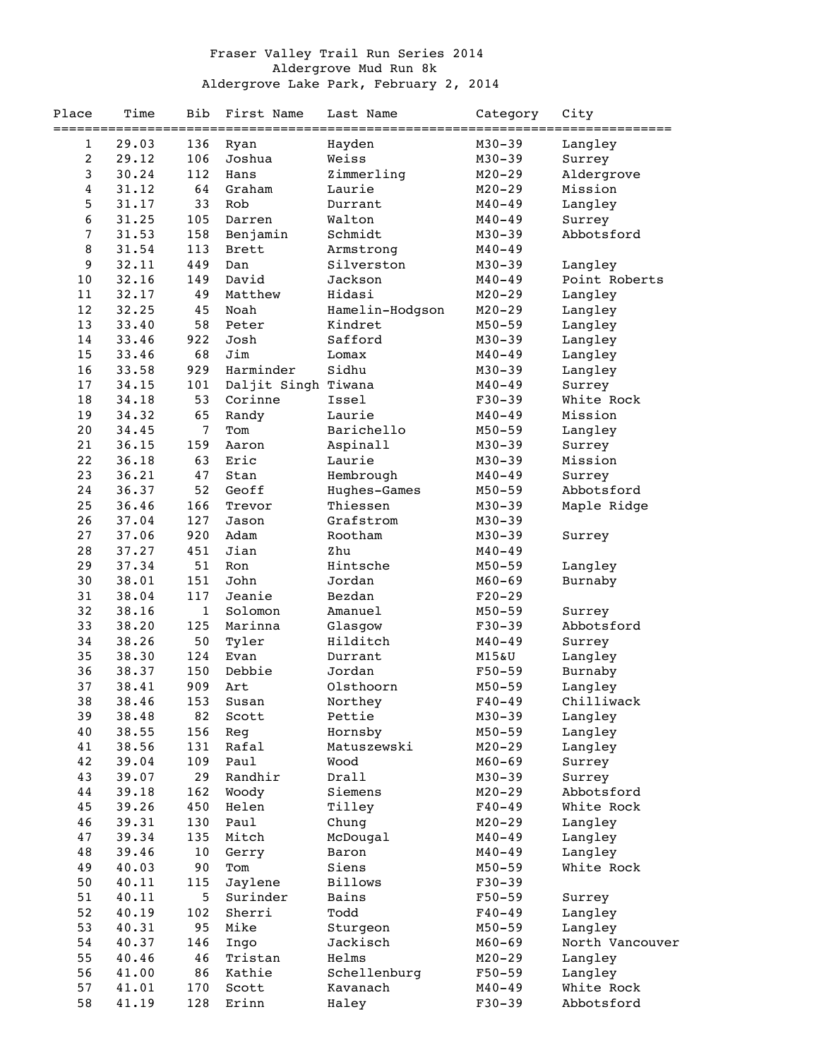## Fraser Valley Trail Run Series 2014 Aldergrove Mud Run 8k Aldergrove Lake Park, February 2, 2014

| Place | Time  | Bib          | First Name          | Last Name       | Category   | City            |
|-------|-------|--------------|---------------------|-----------------|------------|-----------------|
|       |       |              |                     |                 |            | ==========      |
| 1     | 29.03 | 136          | Ryan                | Hayden          | $M30 - 39$ | Langley         |
| 2     | 29.12 | 106          | Joshua              | Weiss           | $M30 - 39$ | Surrey          |
| 3     | 30.24 | 112          | Hans                | Zimmerling      | $M20 - 29$ | Aldergrove      |
| 4     | 31.12 | 64           | Graham              | Laurie          | $M20 - 29$ | Mission         |
| 5     | 31.17 | 33           | Rob                 | Durrant         | $M40 - 49$ | Langley         |
| 6     | 31.25 | 105          | Darren              | Walton          | $M40 - 49$ | Surrey          |
| 7     | 31.53 | 158          | Benjamin            | Schmidt         | $M30 - 39$ | Abbotsford      |
| 8     | 31.54 | 113          | Brett               | Armstrong       | $M40 - 49$ |                 |
| 9     | 32.11 | 449          | Dan                 | Silverston      | $M30 - 39$ | Langley         |
| 10    | 32.16 | 149          | David               | Jackson         | $M40 - 49$ | Point Roberts   |
| 11    | 32.17 | 49           | Matthew             | Hidasi          | $M20 - 29$ | Langley         |
| 12    | 32.25 | 45           | Noah                | Hamelin-Hodgson | $M20 - 29$ | Langley         |
| 13    | 33.40 | 58           | Peter               | Kindret         | $M50 - 59$ |                 |
|       |       |              |                     |                 |            | Langley         |
| 14    | 33.46 | 922          | Josh                | Safford         | $M30 - 39$ | Langley         |
| 15    | 33.46 | 68           | Jim                 | Lomax           | $M40 - 49$ | Langley         |
| 16    | 33.58 | 929          | Harminder           | Sidhu           | $M30 - 39$ | Langley         |
| 17    | 34.15 | 101          | Daljit Singh Tiwana |                 | $M40 - 49$ | Surrey          |
| 18    | 34.18 | 53           | Corinne             | Issel           | $F30-39$   | White Rock      |
| 19    | 34.32 | 65           | Randy               | Laurie          | $M40 - 49$ | Mission         |
| 20    | 34.45 | 7            | Tom                 | Barichello      | $M50 - 59$ | Langley         |
| 21    | 36.15 | 159          | Aaron               | Aspinall        | $M30 - 39$ | Surrey          |
| 22    | 36.18 | 63           | Eric                | Laurie          | $M30 - 39$ | Mission         |
| 23    | 36.21 | 47           | Stan                | Hembrough       | $M40 - 49$ | Surrey          |
| 24    | 36.37 | 52           | Geoff               | Hughes-Games    | $M50 - 59$ | Abbotsford      |
| 25    | 36.46 | 166          | Trevor              | Thiessen        | $M30 - 39$ | Maple Ridge     |
| 26    | 37.04 | 127          | Jason               | Grafstrom       | $M30 - 39$ |                 |
| 27    | 37.06 | 920          | Adam                | Rootham         | $M30 - 39$ | Surrey          |
| 28    | 37.27 | 451          | Jian                | Zhu             | $M40 - 49$ |                 |
| 29    | 37.34 | 51           | Ron                 | Hintsche        | $M50 - 59$ | Langley         |
| 30    | 38.01 | 151          | John                | Jordan          | $M60 - 69$ | Burnaby         |
| 31    | 38.04 | 117          | Jeanie              | Bezdan          | $F20-29$   |                 |
| 32    | 38.16 | $\mathbf{1}$ | Solomon             | Amanuel         | $M50 - 59$ | Surrey          |
| 33    | 38.20 | 125          | Marinna             | Glasgow         | $F30-39$   | Abbotsford      |
| 34    | 38.26 | 50           | Tyler               | Hilditch        | $M40 - 49$ |                 |
| 35    | 38.30 | 124          | Evan                | Durrant         |            | Surrey          |
|       |       |              |                     |                 | M15&U      | Langley         |
| 36    | 38.37 | 150          | Debbie              | Jordan          | $F50 - 59$ | Burnaby         |
| 37    | 38.41 | 909          | Art                 | Olsthoorn       | $M50 - 59$ | Langley         |
| 38    | 38.46 | 153          | Susan               | Northey         | $F40 - 49$ | Chilliwack      |
| 39    | 38.48 | 82           | Scott               | Pettie          | $M30 - 39$ | Langley         |
| 40    | 38.55 | 156          | Reg                 | Hornsby         | $M50 - 59$ | Langley         |
| 41    | 38.56 | 131          | Rafal               | Matuszewski     | $M20 - 29$ | Langley         |
| 42    | 39.04 | 109          | Paul                | Wood            | $M60 - 69$ | Surrey          |
| 43    | 39.07 | 29           | Randhir             | Drall           | $M30 - 39$ | Surrey          |
| 44    | 39.18 | 162          | Woody               | Siemens         | $M20 - 29$ | Abbotsford      |
| 45    | 39.26 | 450          | Helen               | Tilley          | $F40 - 49$ | White Rock      |
| 46    | 39.31 | 130          | Paul                | Chung           | $M20 - 29$ | Langley         |
| 47    | 39.34 | 135          | Mitch               | McDougal        | $M40 - 49$ | Langley         |
| 48    | 39.46 | $10$         | Gerry               | Baron           | $M40 - 49$ | Langley         |
| 49    | 40.03 | 90           | Tom                 | Siens           | $M50 - 59$ | White Rock      |
| 50    | 40.11 | 115          | Jaylene             | <b>Billows</b>  | $F30-39$   |                 |
| 51    | 40.11 | 5            | Surinder            | Bains           | $F50 - 59$ | Surrey          |
| 52    | 40.19 | 102          | Sherri              | Todd            | $F40 - 49$ | Langley         |
| 53    | 40.31 | 95           | Mike                | Sturgeon        | $M50 - 59$ | Langley         |
| 54    | 40.37 | 146          | Ingo                | Jackisch        | $M60 - 69$ | North Vancouver |
| 55    | 40.46 | 46           | Tristan             | Helms           | $M20 - 29$ | Langley         |
| 56    | 41.00 | 86           | Kathie              | Schellenburg    | $F50 - 59$ | Langley         |
| 57    | 41.01 | 170          | Scott               | Kavanach        | $M40 - 49$ | White Rock      |
| 58    | 41.19 | 128          | Erinn               | Haley           | $F30 - 39$ | Abbotsford      |
|       |       |              |                     |                 |            |                 |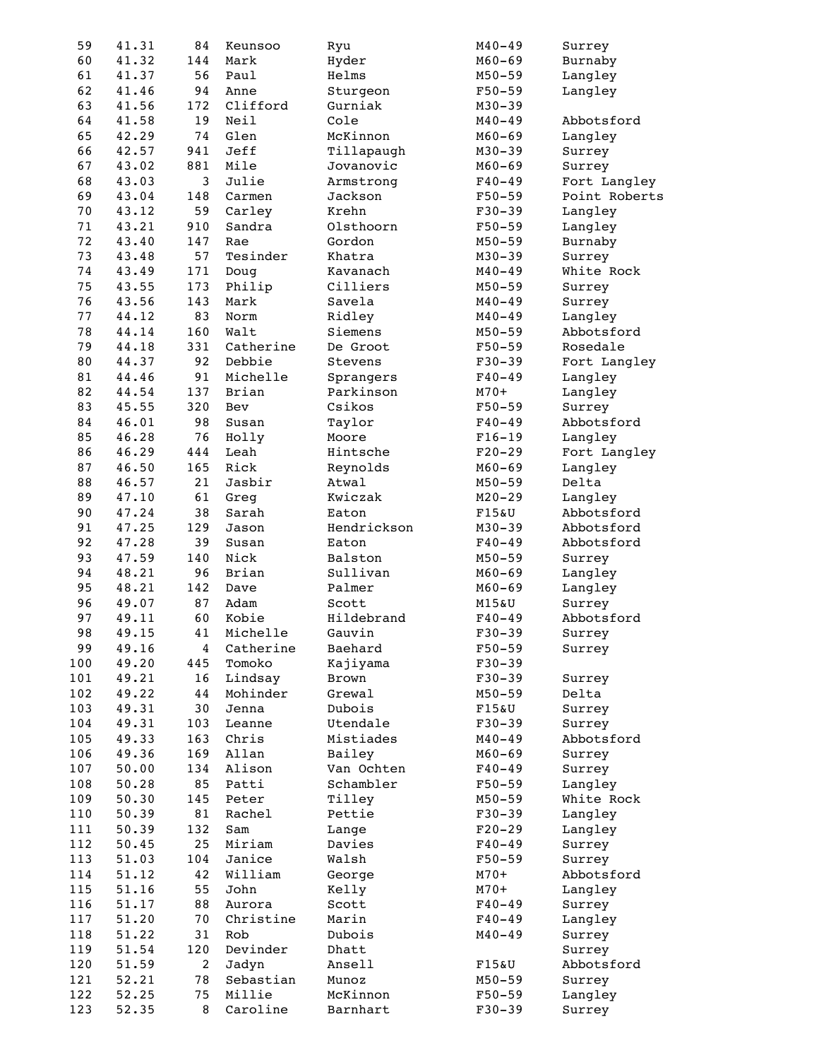| 59  | 41.31 | 84             | Keunsoo   | Ryu         | $M40 - 49$ | Surrey        |
|-----|-------|----------------|-----------|-------------|------------|---------------|
| 60  | 41.32 | 144            | Mark      | Hyder       | $M60 - 69$ | Burnaby       |
| 61  | 41.37 | 56             | Paul      | Helms       | $M50 - 59$ | Langley       |
| 62  | 41.46 | 94             | Anne      | Sturgeon    | $F50 - 59$ | Langley       |
| 63  | 41.56 | 172            | Clifford  | Gurniak     | $M30 - 39$ |               |
| 64  | 41.58 | 19             | Neil      | Cole        | $M40 - 49$ | Abbotsford    |
| 65  | 42.29 | 74             | Glen      | McKinnon    | $M60 - 69$ | Langley       |
| 66  | 42.57 | 941            | Jeff      | Tillapaugh  | $M30 - 39$ | Surrey        |
| 67  | 43.02 | 881            | Mile      | Jovanovic   | $M60 - 69$ | Surrey        |
| 68  | 43.03 | 3              | Julie     | Armstrong   | $F40 - 49$ | Fort Langley  |
| 69  | 43.04 | 148            | Carmen    | Jackson     | $F50 - 59$ | Point Roberts |
| 70  | 43.12 | 59             | Carley    | Krehn       | $F30 - 39$ | Langley       |
| 71  | 43.21 | 910            | Sandra    | Olsthoorn   | $F50 - 59$ | Langley       |
| 72  | 43.40 | 147            | Rae       | Gordon      | $M50 - 59$ | Burnaby       |
| 73  | 43.48 | 57             | Tesinder  | Khatra      | $M30 - 39$ | Surrey        |
| 74  | 43.49 | 171            | Doug      | Kavanach    | $M40 - 49$ | White Rock    |
| 75  | 43.55 | 173            | Philip    | Cilliers    | $M50 - 59$ | Surrey        |
| 76  | 43.56 | 143            | Mark      | Savela      | $M40 - 49$ | Surrey        |
| 77  | 44.12 | 83             | Norm      | Ridley      | $M40 - 49$ | Langley       |
| 78  | 44.14 | 160            | Walt      | Siemens     | $M50 - 59$ | Abbotsford    |
| 79  | 44.18 | 331            | Catherine | De Groot    | $F50 - 59$ | Rosedale      |
| 80  | 44.37 | 92             | Debbie    | Stevens     | $F30 - 39$ | Fort Langley  |
| 81  | 44.46 | 91             | Michelle  |             | $F40 - 49$ | Langley       |
|     |       |                |           | Sprangers   |            |               |
| 82  | 44.54 | 137            | Brian     | Parkinson   | $M70+$     | Langley       |
| 83  | 45.55 | 320            | Bev       | Csikos      | $F50 - 59$ | Surrey        |
| 84  | 46.01 | 98             | Susan     | Taylor      | $F40 - 49$ | Abbotsford    |
| 85  | 46.28 | 76             | Holly     | Moore       | $F16-19$   | Langley       |
| 86  | 46.29 | 444            | Leah      | Hintsche    | $F20-29$   | Fort Langley  |
| 87  | 46.50 | 165            | Rick      | Reynolds    | $M60 - 69$ | Langley       |
| 88  | 46.57 | 21             | Jasbir    | Atwal       | $M50 - 59$ | Delta         |
| 89  | 47.10 | 61             | Greg      | Kwiczak     | $M20 - 29$ | Langley       |
| 90  | 47.24 | 38             | Sarah     | Eaton       | F15&U      | Abbotsford    |
| 91  | 47.25 | 129            | Jason     | Hendrickson | $M30 - 39$ | Abbotsford    |
| 92  | 47.28 | 39             | Susan     | Eaton       | $F40 - 49$ | Abbotsford    |
| 93  | 47.59 | 140            | Nick      | Balston     | $M50 - 59$ | Surrey        |
| 94  | 48.21 | 96             | Brian     | Sullivan    | $M60 - 69$ | Langley       |
| 95  | 48.21 | 142            | Dave      | Palmer      | $M60 - 69$ | Langley       |
| 96  | 49.07 | 87             | Adam      | Scott       | M15&U      | Surrey        |
| 97  | 49.11 | 60             | Kobie     | Hildebrand  | $F40 - 49$ | Abbotsford    |
| 98  | 49.15 | 41             | Michelle  | Gauvin      | $F30 - 39$ | Surrey        |
| 99  | 49.16 | 4              | Catherine | Baehard     | $F50 - 59$ | Surrey        |
| 100 | 49.20 | 445            | Tomoko    | Kajiyama    | $F30-39$   |               |
| 101 | 49.21 | 16             | Lindsay   | Brown       | $F30-39$   | Surrey        |
| 102 | 49.22 | 44             | Mohinder  | Grewal      | $M50 - 59$ | Delta         |
| 103 | 49.31 | 30             | Jenna     | Dubois      | F15&U      | Surrey        |
| 104 | 49.31 | 103            | Leanne    | Utendale    | $F30-39$   | Surrey        |
| 105 | 49.33 | 163            | Chris     | Mistiades   | $M40 - 49$ | Abbotsford    |
| 106 | 49.36 | 169            | Allan     | Bailey      | $M60 - 69$ | Surrey        |
| 107 | 50.00 | 134            | Alison    | Van Ochten  | $F40 - 49$ | Surrey        |
| 108 | 50.28 | 85             | Patti     | Schambler   | $F50 - 59$ | Langley       |
| 109 | 50.30 | 145            | Peter     | Tilley      | $M50 - 59$ | White Rock    |
| 110 | 50.39 | 81             | Rachel    | Pettie      | $F30-39$   | Langley       |
| 111 | 50.39 | 132            | Sam       | Lange       | $F20-29$   | Langley       |
| 112 | 50.45 | 25             | Miriam    | Davies      | $F40 - 49$ | Surrey        |
| 113 | 51.03 | 104            | Janice    | Walsh       | $F50 - 59$ | Surrey        |
| 114 | 51.12 | 42             | William   | George      | $M70+$     | Abbotsford    |
| 115 | 51.16 | 55             | John      | Kelly       | $M70+$     | Langley       |
| 116 | 51.17 | 88             | Aurora    | Scott       | $F40 - 49$ | Surrey        |
| 117 | 51.20 | 70             | Christine | Marin       | $F40 - 49$ | Langley       |
| 118 | 51.22 | 31             | Rob       | Dubois      | $M40 - 49$ | Surrey        |
| 119 | 51.54 | 120            | Devinder  | Dhatt       |            | Surrey        |
| 120 | 51.59 | $\overline{c}$ | Jadyn     | Ansell      | F15&U      | Abbotsford    |
| 121 | 52.21 | 78             | Sebastian | Munoz       | $M50 - 59$ | Surrey        |
| 122 | 52.25 | 75             | Millie    | McKinnon    | $F50 - 59$ | Langley       |
|     |       |                |           |             |            |               |
| 123 | 52.35 | 8              | Caroline  | Barnhart    | $F30-39$   | Surrey        |